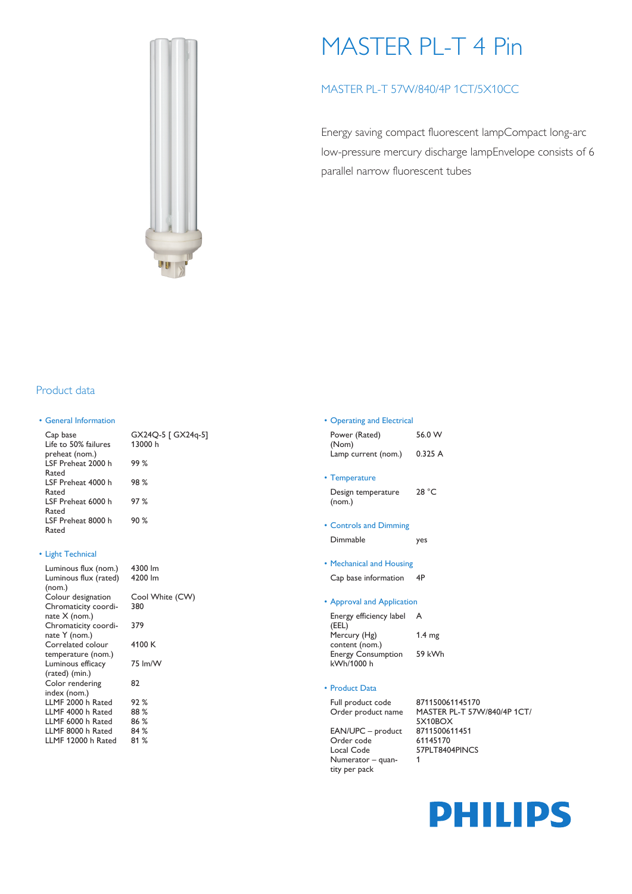

# MASTER PL-T 4 Pin

# MASTER PL-T 57W/840/4P 1CT/5X10CC

Energy saving compact fluorescent lampCompact long-arc low-pressure mercury discharge lampEnvelope consists of 6 parallel narrow fluorescent tubes

## Product data

#### • General Information

Cap base GX24Q-5 [ GX24q-5] Life to 50% failures preheat (nom.) LSF Preheat 2000 h Rated LSF Preheat 4000 h Rated LSF Preheat 6000 h Rated LSF Preheat 8000 h Rated

#### • Light Technical

| Luminous flux (nom.)  | 4300 lm |
|-----------------------|---------|
| Luminous flux (rated) | 4200 lm |
| (nom.)                |         |
| Colour designation    | Cool Wh |
| Chromaticity coordi-  | 380     |
| nate $X$ (nom.)       |         |
| Chromaticity coordi-  | 379     |
| nate Y (nom.)         |         |
| Correlated colour     | 4100 K  |
| temperature (nom.)    |         |
| Luminous efficacy     | 75 lm/W |
| (rated) (min.)        |         |
| Color rendering       | 82      |
| index (nom.)          |         |
| LLMF 2000 h Rated     | 92%     |
| LLMF 4000 h Rated     | 88 %    |
| LLMF 6000 h Rated     | 86 %    |
| LLMF 8000 h Rated     | 84 %    |
| LLMF 12000 h Rated    | 81 %    |
|                       |         |

| GX24Q-5   GX24q-5<br>13000 h |
|------------------------------|
| 99%                          |
| 98%                          |
| 97%                          |
| 90%                          |
|                              |

| 4300 lm |  |
|---------|--|
| 4200 lm |  |
|         |  |

hite (CW)

#### • Operating and Electrical

| Power (Rated)       | 56.0 W |
|---------------------|--------|
| (Nom)               |        |
| Lamp current (nom.) | 0.325A |

• Temperature

Design temperature (nom.) 28 °C

- Controls and Dimming Dimmable yes
- Mechanical and Housing

Cap base information 4P

### • Approval and Application

Energy efficiency label A (EEL) Mercury (Hg) content (nom.) 1.4 mg Energy Consumption 59 kWh kWh/1000 h

## • Product Data

tity per pack

Full product code 871150061145170 Order product name MASTER PL-T 57W/840/4P 1CT/

5X10BOX EAN/UPC – product 8711500611451 Order code 61145170 Local Code 57PLT8404PINCS Numerator – quan-1

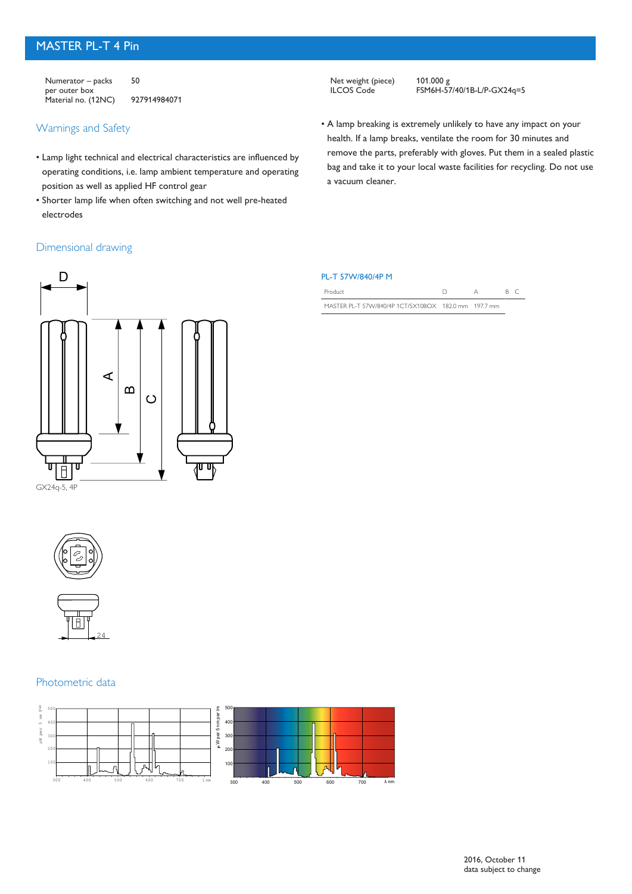# MASTER PL-T 4 Pin

Numerator – packs per outer box 50 Material no. (12NC) 927914984071

## Warnings and Safety

- Lamp light technical and electrical characteristics are influenced by operating conditions, i.e. lamp ambient temperature and operating position as well as applied HF control gear
- Shorter lamp life when often switching and not well pre-heated electrodes

Net weight (piece)<br>ILCOS Code

101.000 g<br>FSM6H-57/40/1B-L/P-GX24q=5

• A lamp breaking is extremely unlikely to have any impact on your health. If a lamp breaks, ventilate the room for 30 minutes and remove the parts, preferably with gloves. Put them in a sealed plastic bag and take it to your local waste facilities for recycling. Do not use a vacuum cleaner.

## Dimensional drawing



| PL-T 57W/840/4P M |
|-------------------|
|-------------------|

| Product                                              |  |  |
|------------------------------------------------------|--|--|
| MASTER PL-T 57W/840/4P 1CT/5X10BOX 182.0 mm 197.7 mm |  |  |





## Photometric data